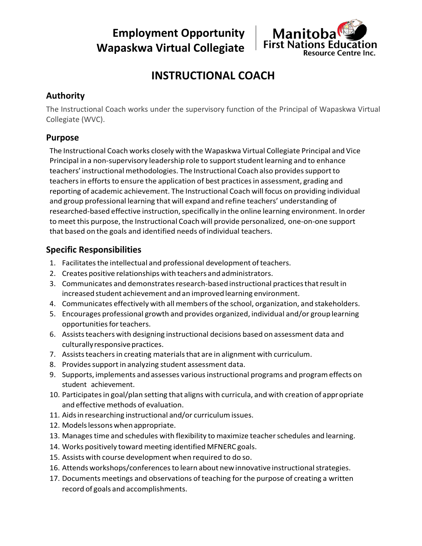**Employment Opportunity Wapaskwa Virtual Collegiate**



# **INSTRUCTIONAL COACH**

# **Authority**

The Instructional Coach works under the supervisory function of the Principal of Wapaskwa Virtual Collegiate (WVC).

# **Purpose**

The Instructional Coach works closely with the Wapaskwa Virtual Collegiate Principal and Vice Principal in a non-supervisory leadership role to support student learning and to enhance teachers' instructional methodologies. The Instructional Coach also providessupportto teachers in efforts to ensure the application of best practices in assessment, grading and reporting of academic achievement. The Instructional Coach will focus on providing individual and group professional learning that will expand and refine teachers' understanding of researched-based effective instruction, specifically in the online learning environment. In order to meet this purpose, the Instructional Coach will provide personalized, one-on-one support that based on the goals and identified needs ofindividual teachers.

# **Specific Responsibilities**

- 1. Facilitates the intellectual and professional development of teachers.
- 2. Creates positive relationships with teachers and administrators.
- 3. Communicates and demonstrates research-based instructional practices that result in increased student achievement and an improved learning environment.
- 4. Communicates effectively with all members ofthe school, organization, and stakeholders.
- 5. Encourages professional growth and provides organized, individual and/or grouplearning opportunities for teachers.
- 6. Assiststeachers with designing instructional decisions based on assessment data and culturally responsive practices.
- 7. Assists teachers in creating materials that are in alignment with curriculum.
- 8. Provides support in analyzing student assessment data.
- 9. Supports, implements and assesses variousinstructional programs and programeffects on student achievement.
- 10. Participatesin goal/plan setting that aligns with curricula, and with creation of appropriate and effective methods of evaluation.
- 11. Aids in researching instructional and/or curriculum issues.
- 12. Models lessons when appropriate.
- 13. Manages time and schedules with flexibility to maximize teacher schedules and learning.
- 14. Works positively toward meeting identified MFNERC goals.
- 15. Assists with course development when required to do so.
- 16. Attends workshops/conferencesto learn about newinnovative instructionalstrategies.
- 17. Documents meetings and observations ofteaching for the purpose of creating a written record of goals and accomplishments.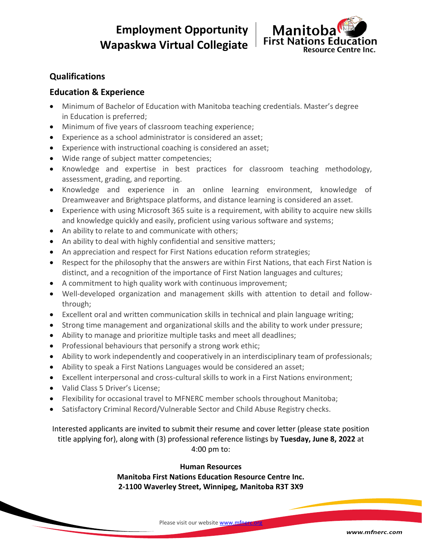**Employment Opportunity Wapaskwa Virtual Collegiate**



# **Qualifications**

### **Education & Experience**

- Minimum of Bachelor of Education with Manitoba teaching credentials. Master's degree in Education is preferred;
- Minimum of five years of classroom teaching experience;
- Experience as a school administrator is considered an asset;
- Experience with instructional coaching is considered an asset;
- Wide range of subject matter competencies;
- Knowledge and expertise in best practices for classroom teaching methodology, assessment, grading, and reporting.
- Knowledge and experience in an online learning environment, knowledge of Dreamweaver and Brightspace platforms, and distance learning is considered an asset.
- Experience with using Microsoft 365 suite is a requirement, with ability to acquire new skills and knowledge quickly and easily, proficient using various software and systems;
- An ability to relate to and communicate with others;
- An ability to deal with highly confidential and sensitive matters;
- An appreciation and respect for First Nations education reform strategies;
- Respect for the philosophy that the answers are within First Nations, that each First Nation is distinct, and a recognition of the importance of First Nation languages and cultures;
- A commitment to high quality work with continuous improvement;
- Well-developed organization and management skills with attention to detail and followthrough;
- Excellent oral and written communication skills in technical and plain language writing;
- Strong time management and organizational skills and the ability to work under pressure;
- Ability to manage and prioritize multiple tasks and meet all deadlines;
- Professional behaviours that personify a strong work ethic;
- Ability to work independently and cooperatively in an interdisciplinary team of professionals;
- Ability to speak a First Nations Languages would be considered an asset;
- Excellent interpersonal and cross-cultural skills to work in a First Nations environment;
- Valid Class 5 Driver's License;
- Flexibility for occasional travel to MFNERC member schools throughout Manitoba;
- Satisfactory Criminal Record/Vulnerable Sector and Child Abuse Registry checks.

Interested applicants are invited to submit their resume and cover letter (please state position title applying for), along with (3) professional reference listings by **Tuesday, June 8, 2022** at 4:00 pm to:

### **Human Resources**

**Manitoba First Nations Education Resource Centre Inc. 2-1100 Waverley Street, Winnipeg, Manitoba R3T 3X9**